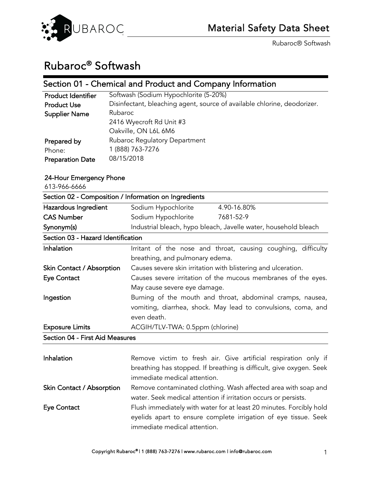

# Rubaroc® Softwash

## Section 01 - Chemical and Product and Company Information

| <b>Product Identifier</b> | Softwash (Sodium Hypochlorite (5-20%)                                    |
|---------------------------|--------------------------------------------------------------------------|
| <b>Product Use</b>        | Disinfectant, bleaching agent, source of available chlorine, deodorizer. |
| <b>Supplier Name</b>      | Rubaroc                                                                  |
|                           | 2416 Wyecroft Rd Unit #3                                                 |
|                           | Oakville, ON L6L 6M6                                                     |
| Prepared by               | Rubaroc Regulatory Department                                            |
| Phone:                    | 1 (888) 763-7276                                                         |
| <b>Preparation Date</b>   | 08/15/2018                                                               |

## 24-Hour Emergency Phone

613-966-6666

| Section 02 - Composition / Information on Ingredients |                                                                 |  |
|-------------------------------------------------------|-----------------------------------------------------------------|--|
| Hazardous Ingredient                                  | Sodium Hypochlorite<br>4.90-16.80%                              |  |
| <b>CAS Number</b>                                     | Sodium Hypochlorite<br>7681-52-9                                |  |
| Synonym(s)                                            | Industrial bleach, hypo bleach, Javelle water, household bleach |  |
| Section 03 - Hazard Identification                    |                                                                 |  |
| Inhalation                                            | Irritant of the nose and throat, causing coughing, difficulty   |  |
|                                                       | breathing, and pulmonary edema.                                 |  |
| Skin Contact / Absorption                             | Causes severe skin irritation with blistering and ulceration.   |  |
| <b>Eye Contact</b>                                    | Causes severe irritation of the mucous membranes of the eyes.   |  |
|                                                       | May cause severe eye damage.                                    |  |
| Ingestion                                             | Burning of the mouth and throat, abdominal cramps, nausea,      |  |
|                                                       | vomiting, diarrhea, shock. May lead to convulsions, coma, and   |  |
|                                                       | even death.                                                     |  |
| <b>Exposure Limits</b>                                | ACGIH/TLV-TWA: 0.5ppm (chlorine)                                |  |
| Section 04 - First Aid Measures                       |                                                                 |  |
|                                                       |                                                                 |  |

| Inhalation                | Remove victim to fresh air. Give artificial respiration only if     |
|---------------------------|---------------------------------------------------------------------|
|                           | breathing has stopped. If breathing is difficult, give oxygen. Seek |
|                           | immediate medical attention.                                        |
| Skin Contact / Absorption | Remove contaminated clothing. Wash affected area with soap and      |
|                           | water. Seek medical attention if irritation occurs or persists.     |
| <b>Eye Contact</b>        | Flush immediately with water for at least 20 minutes. Forcibly hold |
|                           | eyelids apart to ensure complete irrigation of eye tissue. Seek     |
|                           | immediate medical attention.                                        |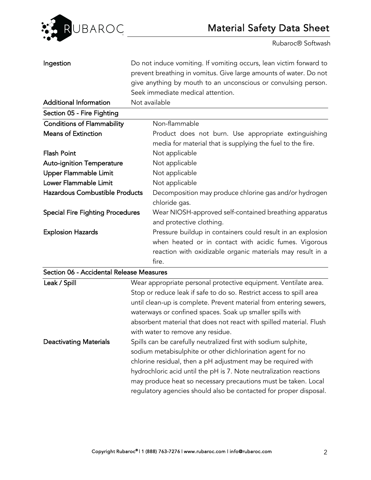

| Ingestion                                |  | Do not induce vomiting. If vomiting occurs, lean victim forward to  |
|------------------------------------------|--|---------------------------------------------------------------------|
|                                          |  | prevent breathing in vomitus. Give large amounts of water. Do not   |
|                                          |  | give anything by mouth to an unconscious or convulsing person.      |
|                                          |  | Seek immediate medical attention.                                   |
| <b>Additional Information</b>            |  | Not available                                                       |
| Section 05 - Fire Fighting               |  |                                                                     |
| <b>Conditions of Flammability</b>        |  | Non-flammable                                                       |
| <b>Means of Extinction</b>               |  | Product does not burn. Use appropriate extinguishing                |
|                                          |  | media for material that is supplying the fuel to the fire.          |
| <b>Flash Point</b>                       |  | Not applicable                                                      |
| <b>Auto-ignition Temperature</b>         |  | Not applicable                                                      |
| Upper Flammable Limit                    |  | Not applicable                                                      |
| Lower Flammable Limit                    |  | Not applicable                                                      |
| Hazardous Combustible Products           |  | Decomposition may produce chlorine gas and/or hydrogen              |
|                                          |  | chloride gas.                                                       |
| <b>Special Fire Fighting Procedures</b>  |  | Wear NIOSH-approved self-contained breathing apparatus              |
|                                          |  | and protective clothing.                                            |
| <b>Explosion Hazards</b>                 |  | Pressure buildup in containers could result in an explosion         |
|                                          |  | when heated or in contact with acidic fumes. Vigorous               |
|                                          |  | reaction with oxidizable organic materials may result in a          |
|                                          |  | fire.                                                               |
| Section 06 - Accidental Release Measures |  |                                                                     |
| Leak / Spill                             |  | Wear appropriate personal protective equipment. Ventilate area.     |
|                                          |  | Stop or reduce leak if safe to do so. Restrict access to spill area |
|                                          |  | until clean-up is complete. Prevent material from entering sewers,  |
|                                          |  | waterways or confined spaces. Soak up smaller spills with           |
|                                          |  | absorbent material that does not react with spilled material. Flush |
|                                          |  | with water to remove any residue.                                   |
| <b>Deactivating Materials</b>            |  | Spills can be carefully neutralized first with sodium sulphite,     |
|                                          |  | sodium metabisulphite or other dichlorination agent for no          |
|                                          |  | chlorine residual, then a pH adjustment may be required with        |
|                                          |  | hydrochloric acid until the pH is 7. Note neutralization reactions  |
|                                          |  | may produce heat so necessary precautions must be taken. Local      |
|                                          |  | regulatory agencies should also be contacted for proper disposal.   |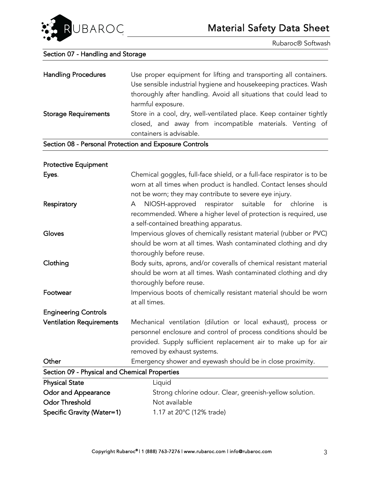

### Section 07 - Handling and Storage

| <b>Handling Procedures</b><br>Use proper equipment for lifting and transporting all containers. | Use sensible industrial hygiene and housekeeping practices. Wash<br>thoroughly after handling. Avoid all situations that could lead to<br>harmful exposure. |
|-------------------------------------------------------------------------------------------------|-------------------------------------------------------------------------------------------------------------------------------------------------------------|
| <b>Storage Requirements</b><br>Soction 08 Porsonal Protoction and Exposure Controls             | Store in a cool, dry, well-ventilated place. Keep container tightly<br>closed, and away from incompatible materials. Venting of<br>containers is advisable. |

Section 08 - Personal Protection and Exposure Controls

| <b>Protective Equipment</b>                   |                                                                                                                                                                                                                                    |  |
|-----------------------------------------------|------------------------------------------------------------------------------------------------------------------------------------------------------------------------------------------------------------------------------------|--|
| Eyes.                                         | Chemical goggles, full-face shield, or a full-face respirator is to be<br>worn at all times when product is handled. Contact lenses should<br>not be worn; they may contribute to severe eye injury.                               |  |
| Respiratory                                   | NIOSH-approved respirator suitable for chlorine<br>is<br>A<br>recommended. Where a higher level of protection is required, use<br>a self-contained breathing apparatus.                                                            |  |
| Gloves                                        | Impervious gloves of chemically resistant material (rubber or PVC)<br>should be worn at all times. Wash contaminated clothing and dry<br>thoroughly before reuse.                                                                  |  |
| Clothing                                      | Body suits, aprons, and/or coveralls of chemical resistant material<br>should be worn at all times. Wash contaminated clothing and dry<br>thoroughly before reuse.                                                                 |  |
| Footwear                                      | Impervious boots of chemically resistant material should be worn<br>at all times.                                                                                                                                                  |  |
| <b>Engineering Controls</b>                   |                                                                                                                                                                                                                                    |  |
| <b>Ventilation Requirements</b>               | Mechanical ventilation (dilution or local exhaust), process or<br>personnel enclosure and control of process conditions should be<br>provided. Supply sufficient replacement air to make up for air<br>removed by exhaust systems. |  |
| Other                                         | Emergency shower and eyewash should be in close proximity.                                                                                                                                                                         |  |
| Section 09 - Physical and Chemical Properties |                                                                                                                                                                                                                                    |  |
| <b>Physical State</b>                         | Liquid                                                                                                                                                                                                                             |  |
| <b>Odor and Appearance</b>                    | Strong chlorine odour. Clear, greenish-yellow solution.                                                                                                                                                                            |  |
| <b>Odor Threshold</b>                         | Not available                                                                                                                                                                                                                      |  |
| <b>Specific Gravity (Water=1)</b>             | 1.17 at 20°C (12% trade)                                                                                                                                                                                                           |  |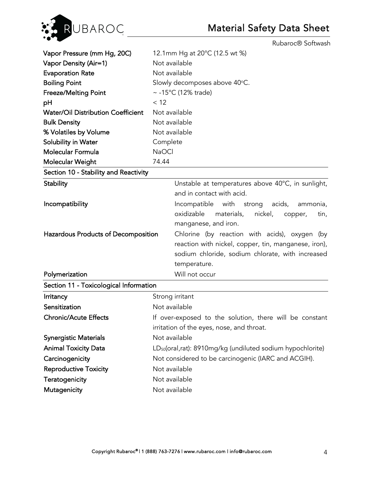

| Vapor Pressure (mm Hg, 20C)               | 12.1mm Hg at 20°C (12.5 wt %)                                          |  |  |
|-------------------------------------------|------------------------------------------------------------------------|--|--|
| Vapor Density (Air=1)                     | Not available                                                          |  |  |
| <b>Evaporation Rate</b>                   | Not available                                                          |  |  |
| <b>Boiling Point</b>                      | Slowly decomposes above 40°C.                                          |  |  |
| <b>Freeze/Melting Point</b>               | ~ $-15^{\circ}$ C (12% trade)                                          |  |  |
| pH                                        | < 12                                                                   |  |  |
| <b>Water/Oil Distribution Coefficient</b> | Not available                                                          |  |  |
| <b>Bulk Density</b>                       | Not available                                                          |  |  |
| % Volatiles by Volume                     | Not available                                                          |  |  |
| Solubility in Water                       | Complete                                                               |  |  |
| Molecular Formula                         | <b>NaOCI</b>                                                           |  |  |
| Molecular Weight                          | 74.44                                                                  |  |  |
| Section 10 - Stability and Reactivity     |                                                                        |  |  |
| <b>Stability</b>                          | Unstable at temperatures above 40°C, in sunlight,                      |  |  |
|                                           | and in contact with acid.                                              |  |  |
| Incompatibility                           | with<br>strong acids,<br>Incompatible<br>ammonia,                      |  |  |
|                                           | oxidizable<br>materials,<br>nickel,<br>copper,<br>tin,                 |  |  |
|                                           | manganese, and iron.                                                   |  |  |
| Hazardous Products of Decomposition       | Chlorine (by reaction with acids), oxygen (by                          |  |  |
|                                           | reaction with nickel, copper, tin, manganese, iron),                   |  |  |
|                                           | sodium chloride, sodium chlorate, with increased                       |  |  |
|                                           | temperature.                                                           |  |  |
| Polymerization                            | Will not occur                                                         |  |  |
| Section 11 - Toxicological Information    |                                                                        |  |  |
| Irritancy                                 | Strong irritant                                                        |  |  |
| Sensitization                             | Not available                                                          |  |  |
| <b>Chronic/Acute Effects</b>              | If over-exposed to the solution, there will be constant                |  |  |
|                                           | irritation of the eyes, nose, and throat.                              |  |  |
| <b>Synergistic Materials</b>              | Not available                                                          |  |  |
| <b>Animal Toxicity Data</b>               | LD <sub>50</sub> (oral,rat): 8910mg/kg (undiluted sodium hypochlorite) |  |  |
| Carcinogenicity                           | Not considered to be carcinogenic (IARC and ACGIH).                    |  |  |
| <b>Reproductive Toxicity</b>              | Not available                                                          |  |  |
| Teratogenicity                            | Not available                                                          |  |  |
| Mutagenicity                              | Not available                                                          |  |  |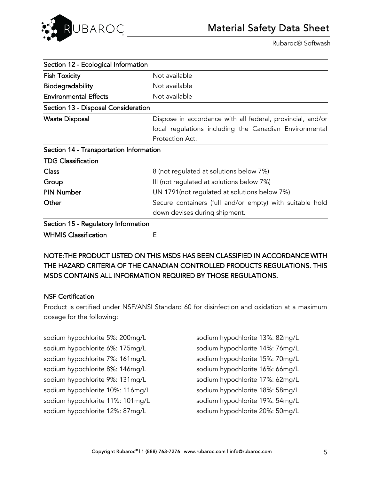

| Section 12 - Ecological Information     |                                                            |
|-----------------------------------------|------------------------------------------------------------|
| <b>Fish Toxicity</b>                    | Not available                                              |
| <b>Biodegradability</b>                 | Not available                                              |
| <b>Environmental Effects</b>            | Not available                                              |
| Section 13 - Disposal Consideration     |                                                            |
| <b>Waste Disposal</b>                   | Dispose in accordance with all federal, provincial, and/or |
|                                         | local regulations including the Canadian Environmental     |
|                                         | Protection Act.                                            |
| Section 14 - Transportation Information |                                                            |
| <b>TDG Classification</b>               |                                                            |
| <b>Class</b>                            | 8 (not regulated at solutions below 7%)                    |
| Group                                   | III (not regulated at solutions below 7%)                  |
| <b>PIN Number</b>                       | UN 1791 (not regulated at solutions below 7%)              |
| Other                                   | Secure containers (full and/or empty) with suitable hold   |
|                                         | down devises during shipment.                              |
| Section 15 - Regulatory Information     |                                                            |
| <b>WHMIS Classification</b>             | Ε                                                          |

NOTE:THE PRODUCT LISTED ON THIS MSDS HAS BEEN CLASSIFIED IN ACCORDANCE WITH THE HAZARD CRITERIA OF THE CANADIAN CONTROLLED PRODUCTS REGULATIONS. THIS MSDS CONTAINS ALL INFORMATION REQUIRED BY THOSE REGULATIONS.

### NSF Certification

Product is certified under NSF/ANSI Standard 60 for disinfection and oxidation at a maximum dosage for the following:

sodium hypochlorite 5%: 200mg/L sodium hypochlorite 6%: 175mg/L sodium hypochlorite 7%: 161mg/L sodium hypochlorite 8%: 146mg/L sodium hypochlorite 9%: 131mg/L sodium hypochlorite 10%: 116mg/L sodium hypochlorite 11%: 101mg/L sodium hypochlorite 12%: 87mg/L

sodium hypochlorite 13%: 82mg/L sodium hypochlorite 14%: 76mg/L sodium hypochlorite 15%: 70mg/L sodium hypochlorite 16%: 66mg/L sodium hypochlorite 17%: 62mg/L sodium hypochlorite 18%: 58mg/L sodium hypochlorite 19%: 54mg/L sodium hypochlorite 20%: 50mg/L